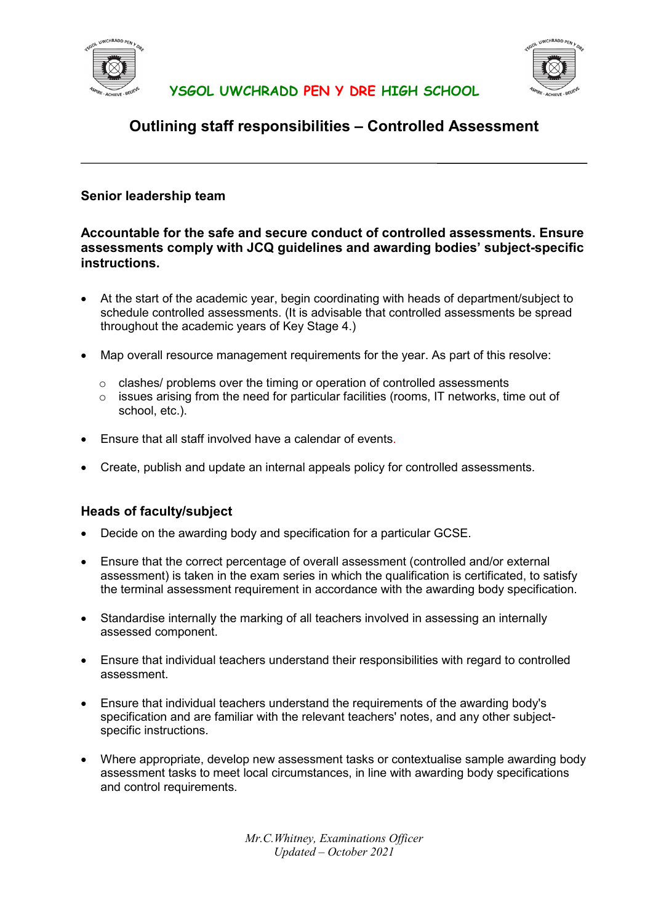



# **Outlining staff responsibilities – Controlled Assessment**

#### **Senior leadership team**

#### **Accountable for the safe and secure conduct of controlled assessments. Ensure assessments comply with JCQ guidelines and awarding bodies' subject-specific instructions.**

- At the start of the academic year, begin coordinating with heads of department/subject to schedule controlled assessments. (It is advisable that controlled assessments be spread throughout the academic years of Key Stage 4.)
- Map overall resource management requirements for the year. As part of this resolve:
	- $\circ$  clashes/ problems over the timing or operation of controlled assessments
	- o issues arising from the need for particular facilities (rooms, IT networks, time out of school, etc.).
- Ensure that all staff involved have a calendar of events.
- Create, publish and update an internal appeals policy for controlled assessments.

#### **Heads of faculty/subject**

- Decide on the awarding body and specification for a particular GCSE.
- Ensure that the correct percentage of overall assessment (controlled and/or external assessment) is taken in the exam series in which the qualification is certificated, to satisfy the terminal assessment requirement in accordance with the awarding body specification.
- Standardise internally the marking of all teachers involved in assessing an internally assessed component.
- Ensure that individual teachers understand their responsibilities with regard to controlled assessment.
- Ensure that individual teachers understand the requirements of the awarding body's specification and are familiar with the relevant teachers' notes, and any other subjectspecific instructions.
- Where appropriate, develop new assessment tasks or contextualise sample awarding body assessment tasks to meet local circumstances, in line with awarding body specifications and control requirements.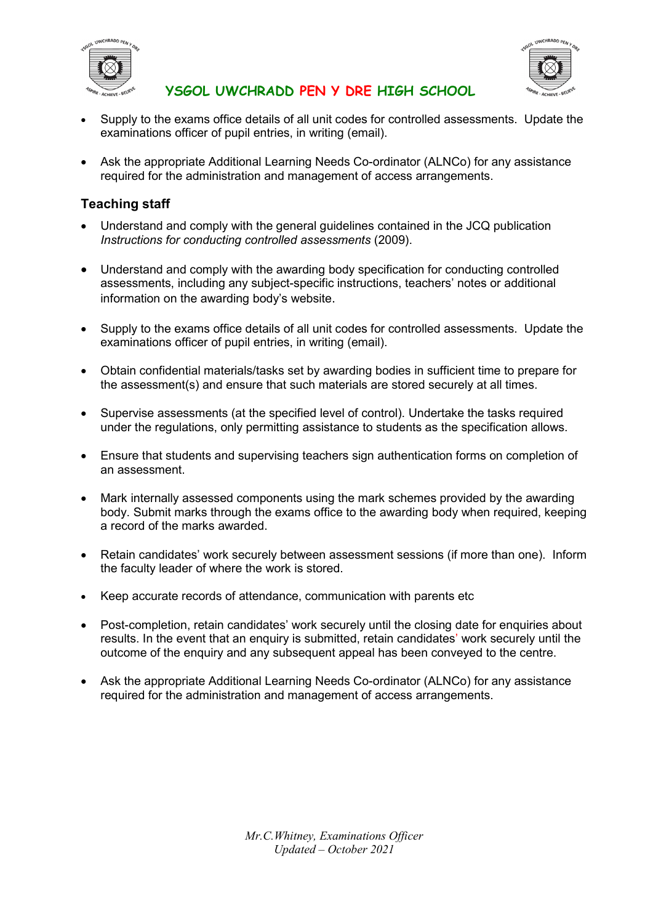



- Supply to the exams office details of all unit codes for controlled assessments. Update the examinations officer of pupil entries, in writing (email).
- Ask the appropriate Additional Learning Needs Co-ordinator (ALNCo) for any assistance required for the administration and management of access arrangements.

#### **Teaching staff**

- Understand and comply with the general guidelines contained in the JCQ publication *Instructions for conducting controlled assessments* (2009).
- Understand and comply with the awarding body specification for conducting controlled assessments, including any subject-specific instructions, teachers' notes or additional information on the awarding body's website.
- Supply to the exams office details of all unit codes for controlled assessments. Update the examinations officer of pupil entries, in writing (email).
- Obtain confidential materials/tasks set by awarding bodies in sufficient time to prepare for the assessment(s) and ensure that such materials are stored securely at all times.
- Supervise assessments (at the specified level of control). Undertake the tasks required under the regulations, only permitting assistance to students as the specification allows.
- Ensure that students and supervising teachers sign authentication forms on completion of an assessment.
- Mark internally assessed components using the mark schemes provided by the awarding body. Submit marks through the exams office to the awarding body when required, keeping a record of the marks awarded.
- Retain candidates' work securely between assessment sessions (if more than one). Inform the faculty leader of where the work is stored.
- Keep accurate records of attendance, communication with parents etc
- Post-completion, retain candidates' work securely until the closing date for enquiries about results. In the event that an enquiry is submitted, retain candidates' work securely until the outcome of the enquiry and any subsequent appeal has been conveyed to the centre.
- Ask the appropriate Additional Learning Needs Co-ordinator (ALNCo) for any assistance required for the administration and management of access arrangements.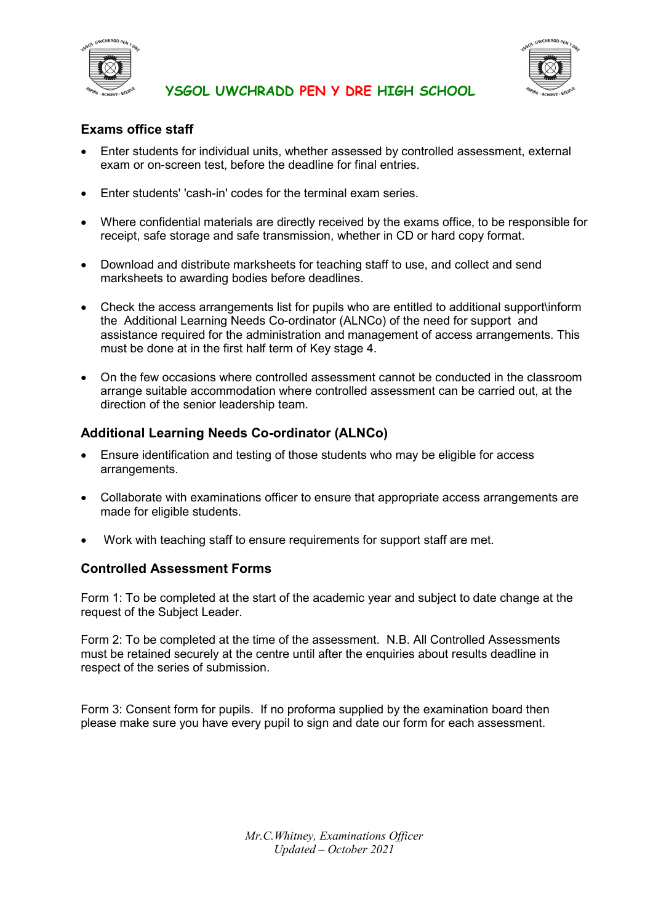



### **Exams office staff**

- Enter students for individual units, whether assessed by controlled assessment, external exam or on-screen test, before the deadline for final entries.
- Enter students' 'cash-in' codes for the terminal exam series.
- Where confidential materials are directly received by the exams office, to be responsible for receipt, safe storage and safe transmission, whether in CD or hard copy format.
- Download and distribute marksheets for teaching staff to use, and collect and send marksheets to awarding bodies before deadlines.
- Check the access arrangements list for pupils who are entitled to additional support\inform the Additional Learning Needs Co-ordinator (ALNCo) of the need for support and assistance required for the administration and management of access arrangements. This must be done at in the first half term of Key stage 4.
- On the few occasions where controlled assessment cannot be conducted in the classroom arrange suitable accommodation where controlled assessment can be carried out, at the direction of the senior leadership team.

### **Additional Learning Needs Co-ordinator (ALNCo)**

- Ensure identification and testing of those students who may be eligible for access arrangements.
- Collaborate with examinations officer to ensure that appropriate access arrangements are made for eligible students.
- Work with teaching staff to ensure requirements for support staff are met.

### **Controlled Assessment Forms**

Form 1: To be completed at the start of the academic year and subject to date change at the request of the Subject Leader.

Form 2: To be completed at the time of the assessment. N.B. All Controlled Assessments must be retained securely at the centre until after the enquiries about results deadline in respect of the series of submission.

Form 3: Consent form for pupils. If no proforma supplied by the examination board then please make sure you have every pupil to sign and date our form for each assessment.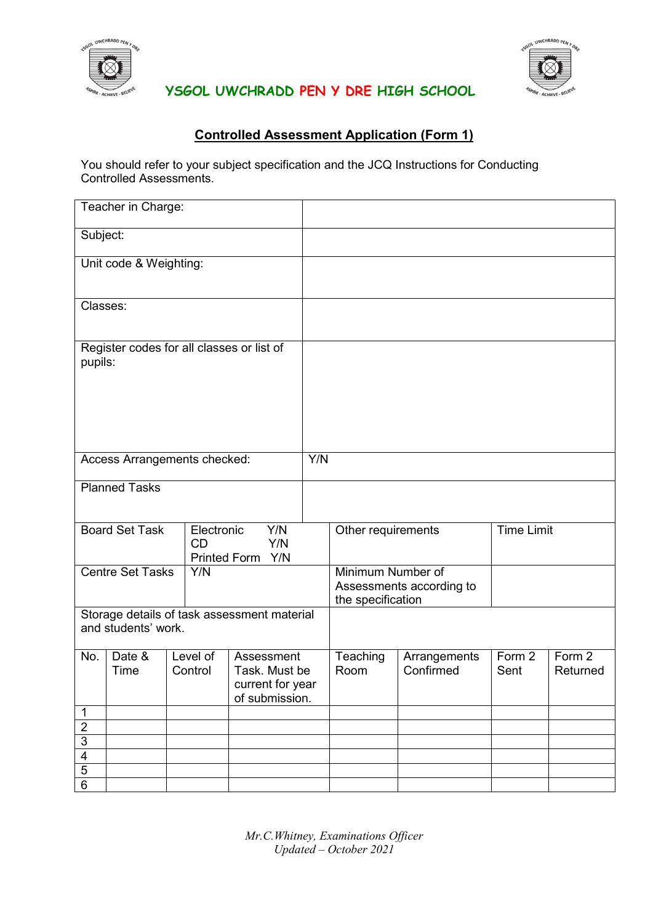



## **Controlled Assessment Application (Form 1)**

You should refer to your subject specification and the JCQ Instructions for Conducting Controlled Assessments.

| Teacher in Charge:                                                 |                              |                     |                                                                     |                                                                   |     |                                                                    |                           |                   |                    |
|--------------------------------------------------------------------|------------------------------|---------------------|---------------------------------------------------------------------|-------------------------------------------------------------------|-----|--------------------------------------------------------------------|---------------------------|-------------------|--------------------|
| Subject:                                                           |                              |                     |                                                                     |                                                                   |     |                                                                    |                           |                   |                    |
| Unit code & Weighting:                                             |                              |                     |                                                                     |                                                                   |     |                                                                    |                           |                   |                    |
| Classes:                                                           |                              |                     |                                                                     |                                                                   |     |                                                                    |                           |                   |                    |
| Register codes for all classes or list of<br>pupils:               |                              |                     |                                                                     |                                                                   |     |                                                                    |                           |                   |                    |
|                                                                    | Access Arrangements checked: |                     |                                                                     |                                                                   | Y/N |                                                                    |                           |                   |                    |
| <b>Planned Tasks</b>                                               |                              |                     |                                                                     |                                                                   |     |                                                                    |                           |                   |                    |
| <b>Board Set Task</b>                                              |                              |                     | Y/N<br>Electronic<br>Y/N<br><b>CD</b><br><b>Printed Form</b><br>Y/N |                                                                   |     | Other requirements                                                 |                           | <b>Time Limit</b> |                    |
| <b>Centre Set Tasks</b>                                            |                              |                     | Y/N                                                                 |                                                                   |     | Minimum Number of<br>Assessments according to<br>the specification |                           |                   |                    |
| Storage details of task assessment material<br>and students' work. |                              |                     |                                                                     |                                                                   |     |                                                                    |                           |                   |                    |
| No.                                                                | Date &<br>Time               | Level of<br>Control |                                                                     | Assessment<br>Task. Must be<br>current for year<br>of submission. |     | Teaching<br>Room                                                   | Arrangements<br>Confirmed | Form 2<br>Sent    | Form 2<br>Returned |
| $\mathbf 1$                                                        |                              |                     |                                                                     |                                                                   |     |                                                                    |                           |                   |                    |
| $\overline{2}$                                                     |                              |                     |                                                                     |                                                                   |     |                                                                    |                           |                   |                    |
| $\overline{3}$                                                     |                              |                     |                                                                     |                                                                   |     |                                                                    |                           |                   |                    |
| $\overline{4}$                                                     |                              |                     |                                                                     |                                                                   |     |                                                                    |                           |                   |                    |
| $\overline{5}$                                                     |                              |                     |                                                                     |                                                                   |     |                                                                    |                           |                   |                    |
| $\overline{6}$                                                     |                              |                     |                                                                     |                                                                   |     |                                                                    |                           |                   |                    |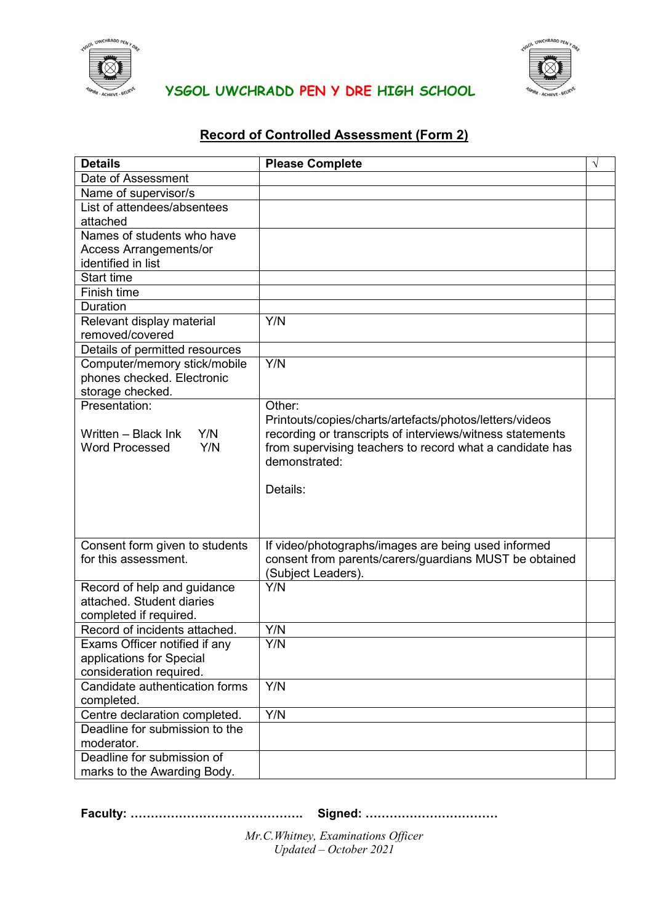



# **Record of Controlled Assessment (Form 2)**

| <b>Details</b>                                             | <b>Please Complete</b>                                                       | $\sqrt{}$ |
|------------------------------------------------------------|------------------------------------------------------------------------------|-----------|
| Date of Assessment                                         |                                                                              |           |
| Name of supervisor/s                                       |                                                                              |           |
| List of attendees/absentees                                |                                                                              |           |
| attached                                                   |                                                                              |           |
| Names of students who have                                 |                                                                              |           |
| <b>Access Arrangements/or</b>                              |                                                                              |           |
| identified in list                                         |                                                                              |           |
| <b>Start time</b>                                          |                                                                              |           |
| Finish time                                                |                                                                              |           |
| Duration                                                   |                                                                              |           |
| Relevant display material                                  | Y/N                                                                          |           |
| removed/covered                                            |                                                                              |           |
| Details of permitted resources                             | Y/N                                                                          |           |
| Computer/memory stick/mobile<br>phones checked. Electronic |                                                                              |           |
| storage checked.                                           |                                                                              |           |
| Presentation:                                              | Other:                                                                       |           |
|                                                            | Printouts/copies/charts/artefacts/photos/letters/videos                      |           |
| Y/N<br>Written - Black Ink                                 | recording or transcripts of interviews/witness statements                    |           |
| Y/N<br><b>Word Processed</b>                               | from supervising teachers to record what a candidate has                     |           |
|                                                            | demonstrated:                                                                |           |
|                                                            |                                                                              |           |
|                                                            | Details:                                                                     |           |
|                                                            |                                                                              |           |
|                                                            |                                                                              |           |
|                                                            |                                                                              |           |
| Consent form given to students<br>for this assessment.     | If video/photographs/images are being used informed                          |           |
|                                                            | consent from parents/carers/guardians MUST be obtained<br>(Subject Leaders). |           |
| Record of help and guidance                                | Y/N                                                                          |           |
| attached. Student diaries                                  |                                                                              |           |
| completed if required.                                     |                                                                              |           |
| Record of incidents attached.                              | Y/N                                                                          |           |
| Exams Officer notified if any                              | Y/N                                                                          |           |
| applications for Special                                   |                                                                              |           |
| consideration required.                                    |                                                                              |           |
| Candidate authentication forms                             | Y/N                                                                          |           |
| completed.                                                 |                                                                              |           |
| Centre declaration completed.                              | Y/N                                                                          |           |
| Deadline for submission to the                             |                                                                              |           |
| moderator.                                                 |                                                                              |           |
| Deadline for submission of                                 |                                                                              |           |
| marks to the Awarding Body.                                |                                                                              |           |

**Faculty: ……………………………………. Signed: ……………………………**